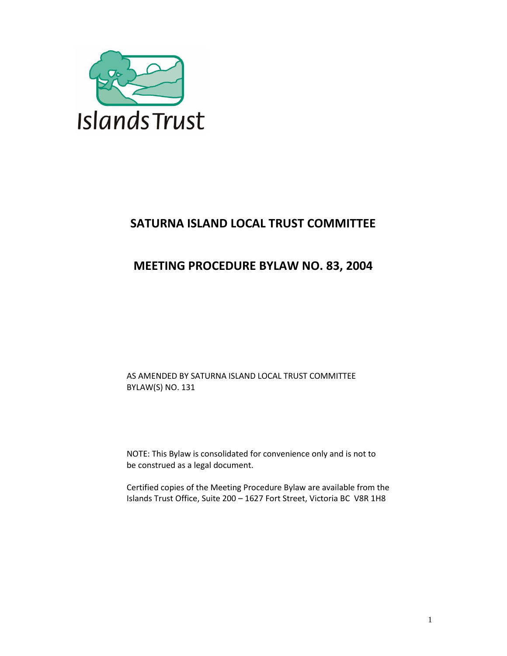

# **SATURNA ISLAND LOCAL TRUST COMMITTEE**

## **MEETING PROCEDURE BYLAW NO. 83, 2004**

AS AMENDED BY SATURNA ISLAND LOCAL TRUST COMMITTEE BYLAW(S) NO. 131

NOTE: This Bylaw is consolidated for convenience only and is not to be construed as a legal document.

Certified copies of the Meeting Procedure Bylaw are available from the Islands Trust Office, Suite 200 – 1627 Fort Street, Victoria BC V8R 1H8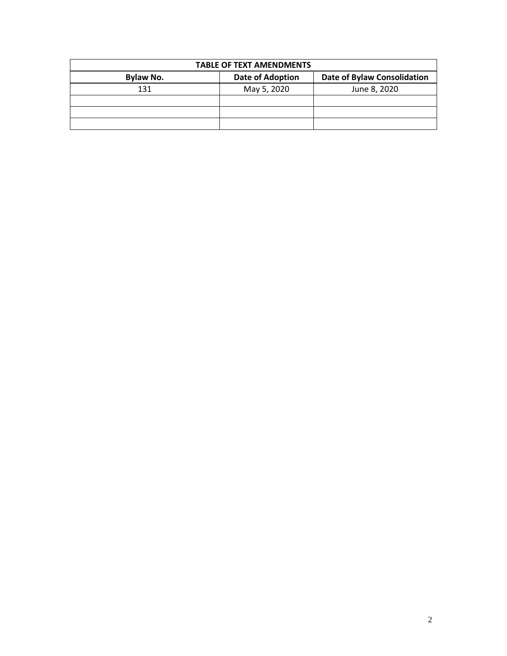| <b>TABLE OF TEXT AMENDMENTS</b> |                         |                                    |  |  |  |
|---------------------------------|-------------------------|------------------------------------|--|--|--|
| <b>Bylaw No.</b>                | <b>Date of Adoption</b> | <b>Date of Bylaw Consolidation</b> |  |  |  |
| 131                             | May 5, 2020             | June 8, 2020                       |  |  |  |
|                                 |                         |                                    |  |  |  |
|                                 |                         |                                    |  |  |  |
|                                 |                         |                                    |  |  |  |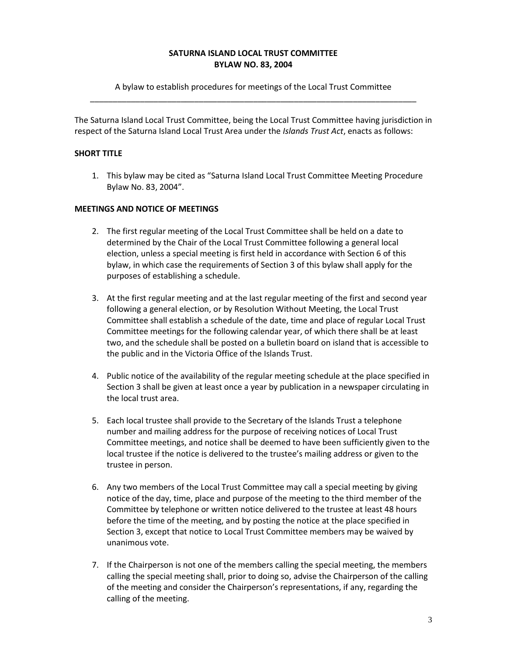#### **SATURNA ISLAND LOCAL TRUST COMMITTEE BYLAW NO. 83, 2004**

A bylaw to establish procedures for meetings of the Local Trust Committee \_\_\_\_\_\_\_\_\_\_\_\_\_\_\_\_\_\_\_\_\_\_\_\_\_\_\_\_\_\_\_\_\_\_\_\_\_\_\_\_\_\_\_\_\_\_\_\_\_\_\_\_\_\_\_\_\_\_\_\_\_\_\_\_\_\_\_\_\_\_\_\_

The Saturna Island Local Trust Committee, being the Local Trust Committee having jurisdiction in respect of the Saturna Island Local Trust Area under the *Islands Trust Act*, enacts as follows:

## **SHORT TITLE**

1. This bylaw may be cited as "Saturna Island Local Trust Committee Meeting Procedure Bylaw No. 83, 2004".

## **MEETINGS AND NOTICE OF MEETINGS**

- 2. The first regular meeting of the Local Trust Committee shall be held on a date to determined by the Chair of the Local Trust Committee following a general local election, unless a special meeting is first held in accordance with Section 6 of this bylaw, in which case the requirements of Section 3 of this bylaw shall apply for the purposes of establishing a schedule.
- 3. At the first regular meeting and at the last regular meeting of the first and second year following a general election, or by Resolution Without Meeting, the Local Trust Committee shall establish a schedule of the date, time and place of regular Local Trust Committee meetings for the following calendar year, of which there shall be at least two, and the schedule shall be posted on a bulletin board on island that is accessible to the public and in the Victoria Office of the Islands Trust.
- 4. Public notice of the availability of the regular meeting schedule at the place specified in Section 3 shall be given at least once a year by publication in a newspaper circulating in the local trust area.
- 5. Each local trustee shall provide to the Secretary of the Islands Trust a telephone number and mailing address for the purpose of receiving notices of Local Trust Committee meetings, and notice shall be deemed to have been sufficiently given to the local trustee if the notice is delivered to the trustee's mailing address or given to the trustee in person.
- 6. Any two members of the Local Trust Committee may call a special meeting by giving notice of the day, time, place and purpose of the meeting to the third member of the Committee by telephone or written notice delivered to the trustee at least 48 hours before the time of the meeting, and by posting the notice at the place specified in Section 3, except that notice to Local Trust Committee members may be waived by unanimous vote.
- 7. If the Chairperson is not one of the members calling the special meeting, the members calling the special meeting shall, prior to doing so, advise the Chairperson of the calling of the meeting and consider the Chairperson's representations, if any, regarding the calling of the meeting.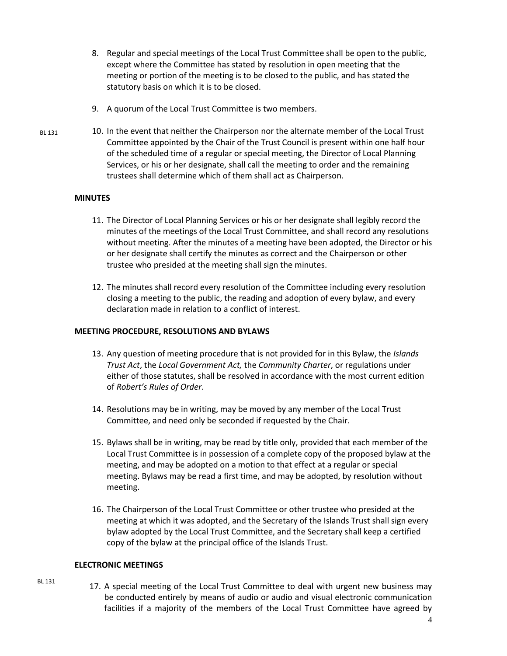- 8. Regular and special meetings of the Local Trust Committee shall be open to the public, except where the Committee has stated by resolution in open meeting that the meeting or portion of the meeting is to be closed to the public, and has stated the statutory basis on which it is to be closed.
- 9. A quorum of the Local Trust Committee is two members.
- 10. In the event that neither the Chairperson nor the alternate member of the Local Trust Committee appointed by the Chair of the Trust Council is present within one half hour of the scheduled time of a regular or special meeting, the Director of Local Planning Services, or his or her designate, shall call the meeting to order and the remaining trustees shall determine which of them shall act as Chairperson. BL 131

#### **MINUTES**

- 11. The Director of Local Planning Services or his or her designate shall legibly record the minutes of the meetings of the Local Trust Committee, and shall record any resolutions without meeting. After the minutes of a meeting have been adopted, the Director or his or her designate shall certify the minutes as correct and the Chairperson or other trustee who presided at the meeting shall sign the minutes.
- 12. The minutes shall record every resolution of the Committee including every resolution closing a meeting to the public, the reading and adoption of every bylaw, and every declaration made in relation to a conflict of interest.

#### **MEETING PROCEDURE, RESOLUTIONS AND BYLAWS**

- 13. Any question of meeting procedure that is not provided for in this Bylaw, the *Islands Trust Act*, the *Local Government Act,* the *Community Charter*, or regulations under either of those statutes, shall be resolved in accordance with the most current edition of *Robert's Rules of Order*.
- 14. Resolutions may be in writing, may be moved by any member of the Local Trust Committee, and need only be seconded if requested by the Chair.
- 15. Bylaws shall be in writing, may be read by title only, provided that each member of the Local Trust Committee is in possession of a complete copy of the proposed bylaw at the meeting, and may be adopted on a motion to that effect at a regular or special meeting. Bylaws may be read a first time, and may be adopted, by resolution without meeting.
- 16. The Chairperson of the Local Trust Committee or other trustee who presided at the meeting at which it was adopted, and the Secretary of the Islands Trust shall sign every bylaw adopted by the Local Trust Committee, and the Secretary shall keep a certified copy of the bylaw at the principal office of the Islands Trust.

### **ELECTRONIC MEETINGS**

BL 131

17. A special meeting of the Local Trust Committee to deal with urgent new business may be conducted entirely by means of audio or audio and visual electronic communication facilities if a majority of the members of the Local Trust Committee have agreed by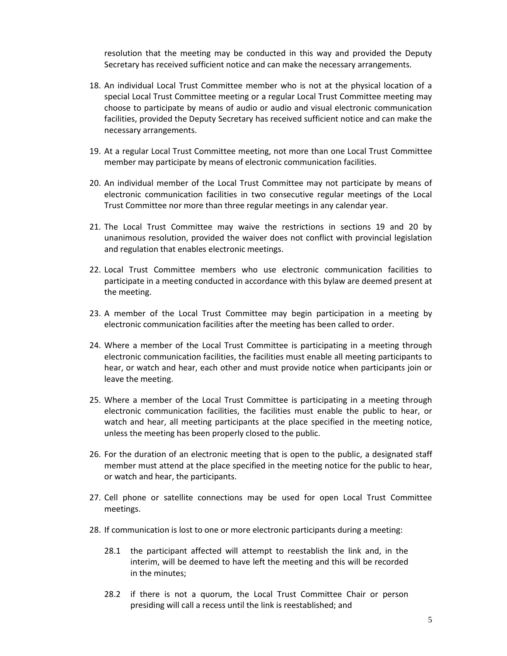resolution that the meeting may be conducted in this way and provided the Deputy Secretary has received sufficient notice and can make the necessary arrangements.

- 18. An individual Local Trust Committee member who is not at the physical location of a special Local Trust Committee meeting or a regular Local Trust Committee meeting may choose to participate by means of audio or audio and visual electronic communication facilities, provided the Deputy Secretary has received sufficient notice and can make the necessary arrangements.
- 19. At a regular Local Trust Committee meeting, not more than one Local Trust Committee member may participate by means of electronic communication facilities.
- 20. An individual member of the Local Trust Committee may not participate by means of electronic communication facilities in two consecutive regular meetings of the Local Trust Committee nor more than three regular meetings in any calendar year.
- 21. The Local Trust Committee may waive the restrictions in sections 19 and 20 by unanimous resolution, provided the waiver does not conflict with provincial legislation and regulation that enables electronic meetings.
- 22. Local Trust Committee members who use electronic communication facilities to participate in a meeting conducted in accordance with this bylaw are deemed present at the meeting.
- 23. A member of the Local Trust Committee may begin participation in a meeting by electronic communication facilities after the meeting has been called to order.
- 24. Where a member of the Local Trust Committee is participating in a meeting through electronic communication facilities, the facilities must enable all meeting participants to hear, or watch and hear, each other and must provide notice when participants join or leave the meeting.
- 25. Where a member of the Local Trust Committee is participating in a meeting through electronic communication facilities, the facilities must enable the public to hear, or watch and hear, all meeting participants at the place specified in the meeting notice, unless the meeting has been properly closed to the public.
- 26. For the duration of an electronic meeting that is open to the public, a designated staff member must attend at the place specified in the meeting notice for the public to hear, or watch and hear, the participants.
- 27. Cell phone or satellite connections may be used for open Local Trust Committee meetings.
- 28. If communication is lost to one or more electronic participants during a meeting:
	- 28.1 the participant affected will attempt to reestablish the link and, in the interim, will be deemed to have left the meeting and this will be recorded in the minutes;
	- 28.2 if there is not a quorum, the Local Trust Committee Chair or person presiding will call a recess until the link is reestablished; and